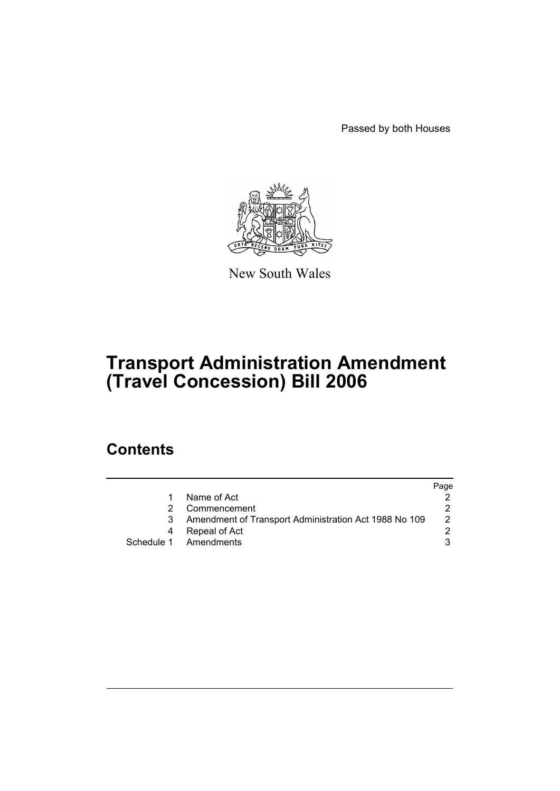Passed by both Houses



New South Wales

# **Transport Administration Amendment (Travel Concession) Bill 2006**

## **Contents**

|    |                                                       | Page |
|----|-------------------------------------------------------|------|
|    | Name of Act                                           |      |
|    | Commencement                                          |      |
| -3 | Amendment of Transport Administration Act 1988 No 109 | 2    |
|    | Repeal of Act                                         |      |
|    | Schedule 1 Amendments                                 |      |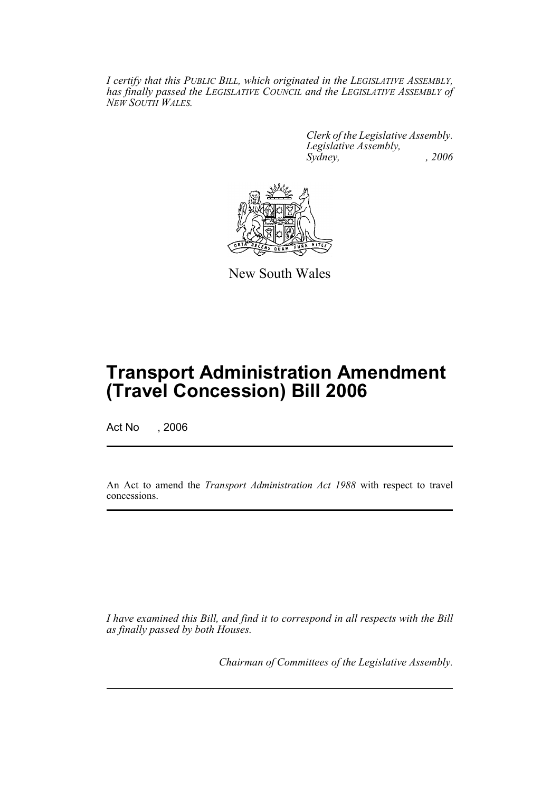*I certify that this PUBLIC BILL, which originated in the LEGISLATIVE ASSEMBLY, has finally passed the LEGISLATIVE COUNCIL and the LEGISLATIVE ASSEMBLY of NEW SOUTH WALES.*

> *Clerk of the Legislative Assembly. Legislative Assembly, Sydney, , 2006*



New South Wales

## **Transport Administration Amendment (Travel Concession) Bill 2006**

Act No , 2006

An Act to amend the *Transport Administration Act 1988* with respect to travel concessions.

*I have examined this Bill, and find it to correspond in all respects with the Bill as finally passed by both Houses.*

*Chairman of Committees of the Legislative Assembly.*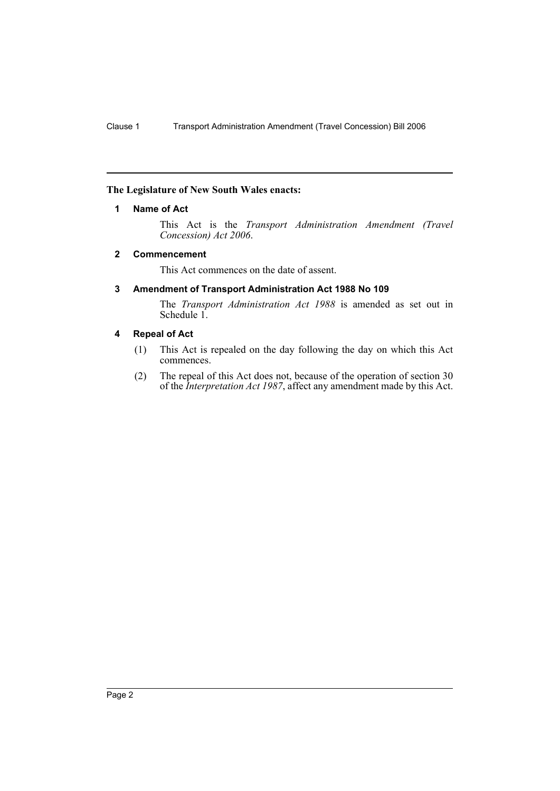### **The Legislature of New South Wales enacts:**

#### **1 Name of Act**

This Act is the *Transport Administration Amendment (Travel Concession) Act 2006*.

#### **2 Commencement**

This Act commences on the date of assent.

### **3 Amendment of Transport Administration Act 1988 No 109**

The *Transport Administration Act 1988* is amended as set out in Schedule 1.

### **4 Repeal of Act**

- (1) This Act is repealed on the day following the day on which this Act commences.
- (2) The repeal of this Act does not, because of the operation of section 30 of the *Interpretation Act 1987*, affect any amendment made by this Act.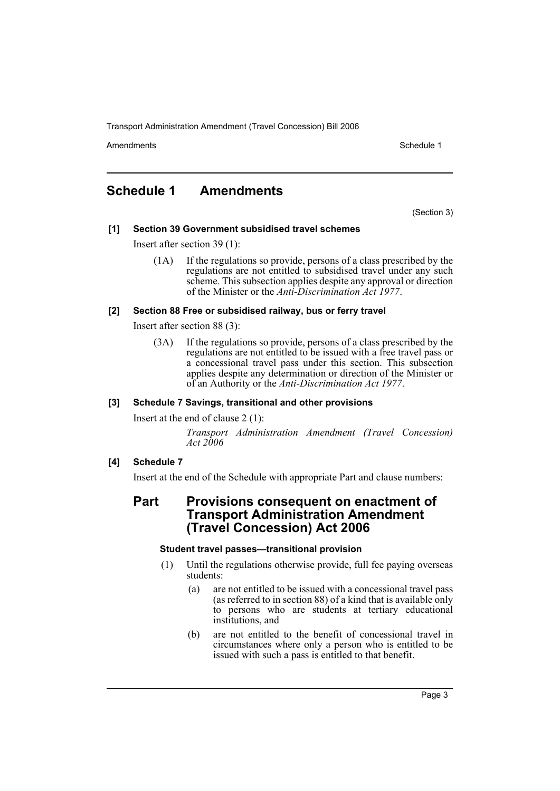Transport Administration Amendment (Travel Concession) Bill 2006

Amendments **Amendments** Schedule 1

### **Schedule 1 Amendments**

(Section 3)

### **[1] Section 39 Government subsidised travel schemes**

Insert after section 39 (1):

(1A) If the regulations so provide, persons of a class prescribed by the regulations are not entitled to subsidised travel under any such scheme. This subsection applies despite any approval or direction of the Minister or the *Anti-Discrimination Act 1977*.

### **[2] Section 88 Free or subsidised railway, bus or ferry travel**

Insert after section 88 (3):

(3A) If the regulations so provide, persons of a class prescribed by the regulations are not entitled to be issued with a free travel pass or a concessional travel pass under this section. This subsection applies despite any determination or direction of the Minister or of an Authority or the *Anti-Discrimination Act 1977*.

### **[3] Schedule 7 Savings, transitional and other provisions**

Insert at the end of clause 2 (1):

*Transport Administration Amendment (Travel Concession) Act 2006*

### **[4] Schedule 7**

Insert at the end of the Schedule with appropriate Part and clause numbers:

### **Part Provisions consequent on enactment of Transport Administration Amendment (Travel Concession) Act 2006**

### **Student travel passes—transitional provision**

- (1) Until the regulations otherwise provide, full fee paying overseas students:
	- (a) are not entitled to be issued with a concessional travel pass (as referred to in section 88) of a kind that is available only to persons who are students at tertiary educational institutions, and
	- (b) are not entitled to the benefit of concessional travel in circumstances where only a person who is entitled to be issued with such a pass is entitled to that benefit.